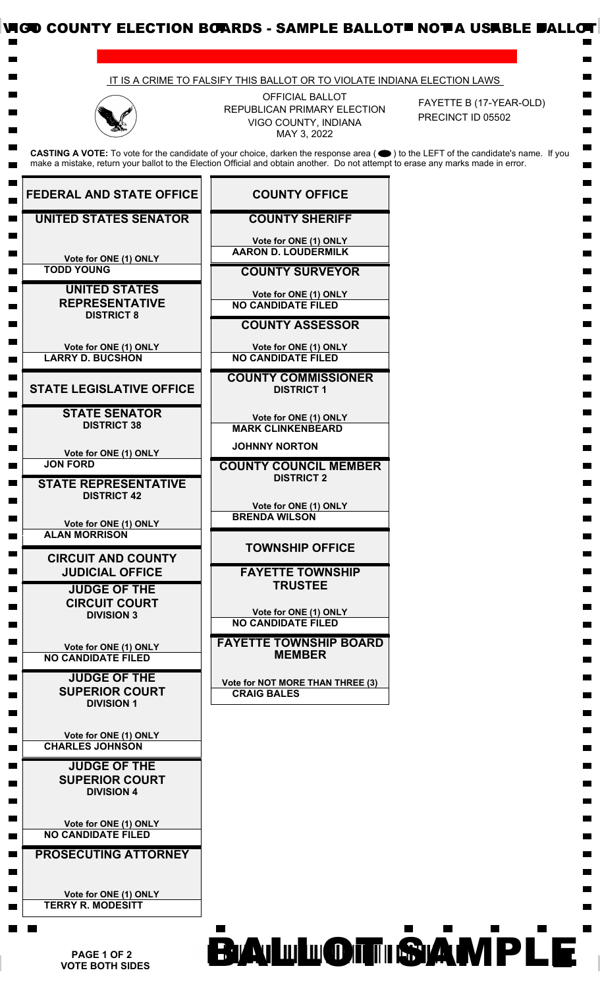